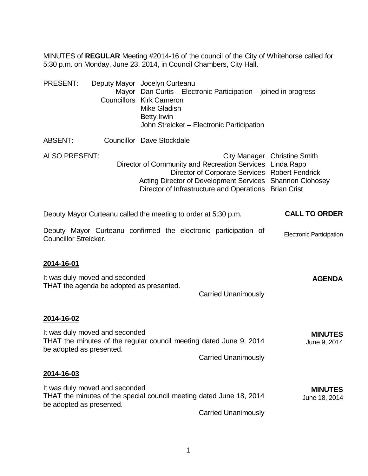MINUTES of **REGULAR** Meeting #2014-16 of the council of the City of Whitehorse called for 5:30 p.m. on Monday, June 23, 2014, in Council Chambers, City Hall.

| <b>PRESENT:</b>              |                                                                            | Deputy Mayor Jocelyn Curteanu<br>Mayor Dan Curtis – Electronic Participation – joined in progress<br><b>Councillors Kirk Cameron</b><br><b>Mike Gladish</b><br><b>Betty Irwin</b><br>John Streicker - Electronic Participation  |                                 |
|------------------------------|----------------------------------------------------------------------------|---------------------------------------------------------------------------------------------------------------------------------------------------------------------------------------------------------------------------------|---------------------------------|
| ABSENT:                      |                                                                            | <b>Councillor Dave Stockdale</b>                                                                                                                                                                                                |                                 |
| <b>ALSO PRESENT:</b>         |                                                                            | Director of Community and Recreation Services Linda Rapp<br>Director of Corporate Services Robert Fendrick<br>Acting Director of Development Services Shannon Clohosey<br>Director of Infrastructure and Operations Brian Crist | City Manager Christine Smith    |
|                              |                                                                            | Deputy Mayor Curteanu called the meeting to order at 5:30 p.m.                                                                                                                                                                  | <b>CALL TO ORDER</b>            |
| <b>Councillor Streicker.</b> |                                                                            | Deputy Mayor Curteanu confirmed the electronic participation of                                                                                                                                                                 | <b>Electronic Participation</b> |
| 2014-16-01                   |                                                                            |                                                                                                                                                                                                                                 |                                 |
|                              | It was duly moved and seconded<br>THAT the agenda be adopted as presented. | <b>Carried Unanimously</b>                                                                                                                                                                                                      | <b>AGENDA</b>                   |
| 2014-16-02                   |                                                                            |                                                                                                                                                                                                                                 |                                 |
| be adopted as presented.     | It was duly moved and seconded                                             | THAT the minutes of the regular council meeting dated June 9, 2014                                                                                                                                                              | <b>MINUTES</b><br>June 9, 2014  |
|                              |                                                                            | <b>Carried Unanimously</b>                                                                                                                                                                                                      |                                 |
| <u>2014-16-03</u>            |                                                                            |                                                                                                                                                                                                                                 |                                 |
| be adopted as presented.     | It was duly moved and seconded                                             | THAT the minutes of the special council meeting dated June 18, 2014                                                                                                                                                             | <b>MINUTES</b><br>June 18, 2014 |
|                              |                                                                            | <b>Carried Unanimously</b>                                                                                                                                                                                                      |                                 |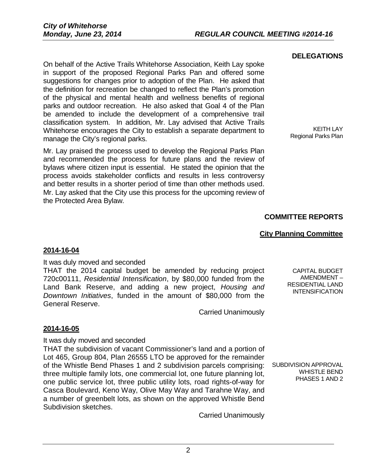On behalf of the Active Trails Whitehorse Association, Keith Lay spoke in support of the proposed Regional Parks Pan and offered some suggestions for changes prior to adoption of the Plan. He asked that the definition for recreation be changed to reflect the Plan's promotion of the physical and mental health and wellness benefits of regional parks and outdoor recreation. He also asked that Goal 4 of the Plan be amended to include the development of a comprehensive trail classification system. In addition, Mr. Lay advised that Active Trails Whitehorse encourages the City to establish a separate department to manage the City's regional parks.

Mr. Lay praised the process used to develop the Regional Parks Plan and recommended the process for future plans and the review of bylaws where citizen input is essential. He stated the opinion that the process avoids stakeholder conflicts and results in less controversy and better results in a shorter period of time than other methods used. Mr. Lay asked that the City use this process for the upcoming review of the Protected Area Bylaw.

### **DELEGATIONS**

KEITH LAY Regional Parks Plan

## **COMMITTEE REPORTS**

### **City Planning Committee**

### **2014-16-04**

It was duly moved and seconded

THAT the 2014 capital budget be amended by reducing project 720c00111, *Residential Intensification*, by \$80,000 funded from the Land Bank Reserve, and adding a new project, *Housing and Downtown Initiatives*, funded in the amount of \$80,000 from the General Reserve.

Carried Unanimously

### **2014-16-05**

It was duly moved and seconded

THAT the subdivision of vacant Commissioner's land and a portion of Lot 465, Group 804, Plan 26555 LTO be approved for the remainder of the Whistle Bend Phases 1 and 2 subdivision parcels comprising: three multiple family lots, one commercial lot, one future planning lot, one public service lot, three public utility lots, road rights-of-way for Casca Boulevard, Keno Way, Olive May Way and Tarahne Way, and a number of greenbelt lots, as shown on the approved Whistle Bend Subdivision sketches.

Carried Unanimously

RESIDENTIAL LAND INTENSIFICATION

SUBDIVISION APPROVAL

WHISTLE BEND PHASES 1 AND 2

CAPITAL BUDGET AMENDMENT –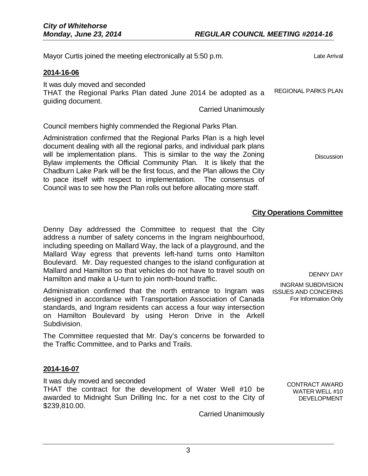| Mayor Curtis joined the meeting electronically at 5:50 p.m.                                                                                                                                                                                                                                                                                                                                                                                                                                                              | Late Arrival               |
|--------------------------------------------------------------------------------------------------------------------------------------------------------------------------------------------------------------------------------------------------------------------------------------------------------------------------------------------------------------------------------------------------------------------------------------------------------------------------------------------------------------------------|----------------------------|
| 2014-16-06                                                                                                                                                                                                                                                                                                                                                                                                                                                                                                               |                            |
| It was duly moved and seconded<br>THAT the Regional Parks Plan dated June 2014 be adopted as a<br>guiding document.<br><b>Carried Unanimously</b>                                                                                                                                                                                                                                                                                                                                                                        | <b>REGIONAL PARKS PLAN</b> |
| Council members highly commended the Regional Parks Plan.                                                                                                                                                                                                                                                                                                                                                                                                                                                                |                            |
| Administration confirmed that the Regional Parks Plan is a high level<br>document dealing with all the regional parks, and individual park plans<br>will be implementation plans. This is similar to the way the Zoning<br>Bylaw implements the Official Community Plan. It is likely that the<br>Chadburn Lake Park will be the first focus, and the Plan allows the City<br>to pace itself with respect to implementation. The consensus of<br>Council was to see how the Plan rolls out before allocating more staff. | <b>Discussion</b>          |

# **City Operations Committee**

Denny Day addressed the Committee to request that the City address a number of safety concerns in the Ingram neighbourhood, including speeding on Mallard Way, the lack of a playground, and the Mallard Way egress that prevents left-hand turns onto Hamilton Boulevard. Mr. Day requested changes to the island configuration at Mallard and Hamilton so that vehicles do not have to travel south on Hamilton and make a U-turn to join north-bound traffic.

Administration confirmed that the north entrance to Ingram was ISSUES AND CONCERNS designed in accordance with Transportation Association of Canada standards, and Ingram residents can access a four way intersection on Hamilton Boulevard by using Heron Drive in the Arkell Subdivision.

The Committee requested that Mr. Day's concerns be forwarded to the Traffic Committee, and to Parks and Trails.

## **2014-16-07**

It was duly moved and seconded

THAT the contract for the development of Water Well #10 be awarded to Midnight Sun Drilling Inc. for a net cost to the City of \$239,810.00.

Carried Unanimously

DENNY DAY

INGRAM SUBDIVISION For Information Only

> CONTRACT AWARD WATER WELL #10 DEVELOPMENT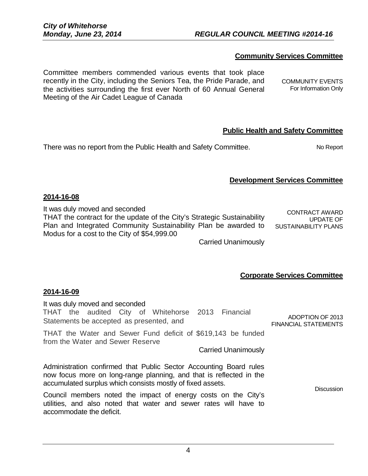4

# *Monday, June 23, 2014 REGULAR COUNCIL MEETING #2014-16*

## **Community Services Committee**

Committee members commended various events that took place recently in the City, including the Seniors Tea, the Pride Parade, and the activities surrounding the first ever North of 60 Annual General Meeting of the Air Cadet League of Canada

## **Public Health and Safety Committee**

There was no report from the Public Health and Safety Committee. No Report

# **Development Services Committee**

### **2014-16-08**

It was duly moved and seconded

THAT the contract for the update of the City's Strategic Sustainability Plan and Integrated Community Sustainability Plan be awarded to Modus for a cost to the City of \$54,999.00

CONTRACT AWARD UPDATE OF SUSTAINABILITY PLANS

Carried Unanimously

## **Corporate Services Committee**

### **2014-16-09**

accommodate the deficit.

| It was duly moved and seconded<br>THAT the audited City of Whitehorse 2013 Financial<br>Statements be accepted as presented, and                                                                        | ADOPTION OF 2013<br><b>FINANCIAL STATEMENTS</b> |  |  |  |
|---------------------------------------------------------------------------------------------------------------------------------------------------------------------------------------------------------|-------------------------------------------------|--|--|--|
| THAT the Water and Sewer Fund deficit of \$619,143 be funded<br>from the Water and Sewer Reserve<br><b>Carried Unanimously</b>                                                                          |                                                 |  |  |  |
| Administration confirmed that Public Sector Accounting Board rules<br>now focus more on long-range planning, and that is reflected in the<br>accumulated surplus which consists mostly of fixed assets. |                                                 |  |  |  |
| Council members noted the impact of energy costs on the City's<br>utilities, and also noted that water and sewer rates will have to                                                                     |                                                 |  |  |  |

COMMUNITY EVENTS For Information Only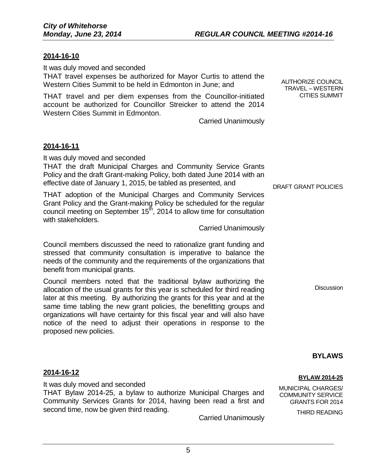## **2014-16-10**

It was duly moved and seconded

THAT travel expenses be authorized for Mayor Curtis to attend the Western Cities Summit to be held in Edmonton in June; and

THAT travel and per diem expenses from the Councillor-initiated account be authorized for Councillor Streicker to attend the 2014 Western Cities Summit in Edmonton.

Carried Unanimously

### **2014-16-11**

It was duly moved and seconded

THAT the draft Municipal Charges and Community Service Grants Policy and the draft Grant-making Policy, both dated June 2014 with an effective date of January 1, 2015, be tabled as presented, and

THAT adoption of the Municipal Charges and Community Services Grant Policy and the Grant-making Policy be scheduled for the regular council meeting on September 15<sup>th</sup>, 2014 to allow time for consultation with stakeholders.

Carried Unanimously

Council members discussed the need to rationalize grant funding and stressed that community consultation is imperative to balance the needs of the community and the requirements of the organizations that benefit from municipal grants.

Council members noted that the traditional bylaw authorizing the allocation of the usual grants for this year is scheduled for third reading later at this meeting. By authorizing the grants for this year and at the same time tabling the new grant policies, the benefitting groups and organizations will have certainty for this fiscal year and will also have notice of the need to adjust their operations in response to the proposed new policies.

### DRAFT GRANT POLICIES

AUTHORIZE COUNCIL TRAVEL – WESTERN CITIES SUMMIT

**Discussion** 

**BYLAWS**

### **2014-16-12**

It was duly moved and seconded THAT Bylaw 2014-25, a bylaw to authorize Municipal Charges and Community Services Grants for 2014, having been read a first and second time, now be given third reading.

Carried Unanimously

#### **BYLAW 2014-25**

MUNICIPAL CHARGES/ COMMUNITY SERVICE GRANTS FOR 2014

THIRD READING